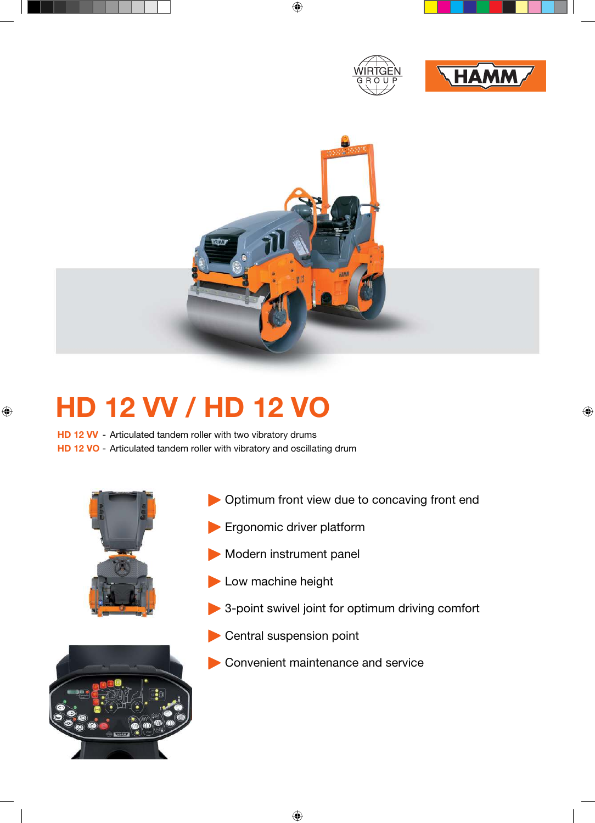





## **HD 12 VV / HD 12 VO**

**HD 12 VV** - Articulated tandem roller with two vibratory drums **HD 12 VO** - Articulated tandem roller with vibratory and oscillating drum





- **Ergonomic driver platform**
- Modern instrument panel
- Low machine height
- 3-point swivel joint for optimum driving comfort
- Central suspension point
- Convenient maintenance and service